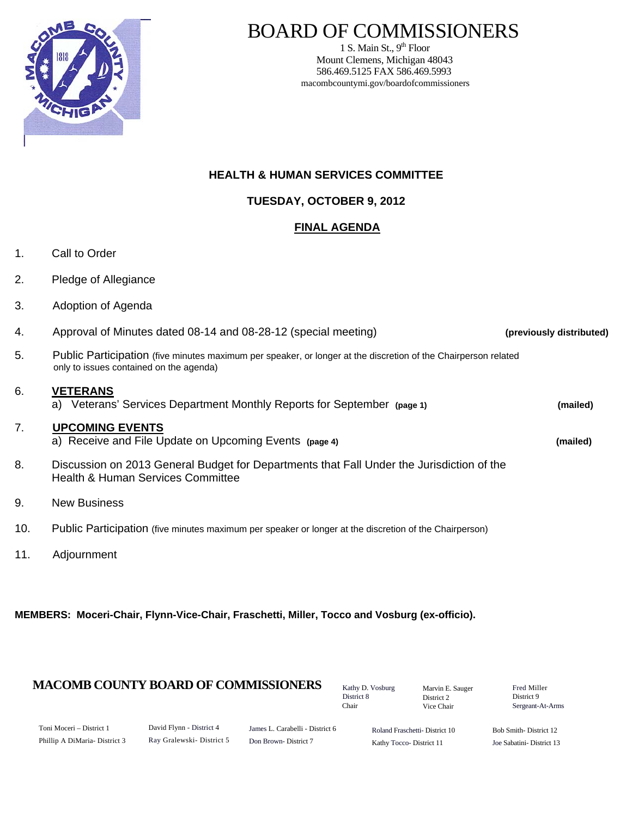

## BOARD OF COMMISSIONERS

1 S. Main St.,  $9<sup>th</sup>$  Floor Mount Clemens, Michigan 48043 586.469.5125 FAX 586.469.5993 macombcountymi.gov/boardofcommissioners

## **HEALTH & HUMAN SERVICES COMMITTEE**

**TUESDAY, OCTOBER 9, 2012**

## **FINAL AGENDA**

- 1. Call to Order
- 2. Pledge of Allegiance
- 3. Adoption of Agenda

| $\overline{4}$ . | Approval of Minutes dated 08-14 and 08-28-12 (special meeting)                                                                                            | (previously distributed) |
|------------------|-----------------------------------------------------------------------------------------------------------------------------------------------------------|--------------------------|
| 5.               | Public Participation (five minutes maximum per speaker, or longer at the discretion of the Chairperson related<br>only to issues contained on the agenda) |                          |
| 6.               | <b>VETERANS</b><br>a) Veterans' Services Department Monthly Reports for September (page 1)                                                                | (mailed)                 |
| 7.               | <b>UPCOMING EVENTS</b><br>a) Receive and File Update on Upcoming Events (page 4)                                                                          | (mailed)                 |
| 8.               | Discussion on 2013 General Budget for Departments that Fall Under the Jurisdiction of the<br><b>Health &amp; Human Services Committee</b>                 |                          |
| 9.               | <b>New Business</b>                                                                                                                                       |                          |
| 10.              | Public Participation (five minutes maximum per speaker or longer at the discretion of the Chairperson)                                                    |                          |

11. Adjournment

**MEMBERS: Moceri-Chair, Flynn-Vice-Chair, Fraschetti, Miller, Tocco and Vosburg (ex-officio).** 

## **MACOMB COUNTY BOARD OF COMMISSIONERS** Kathy D. Vosburg Marvin E. Sauger Fred Miller

Kathy D. Vosburg District 8 Chair

Marvin E. Sauger District 2 Vice Chair

District 9 Sergeant-At-Arms

| Toni Moceri – District 1      |  |  |
|-------------------------------|--|--|
| Phillip A DiMaria- District 3 |  |  |

David Flynn - District 4 Ray Gralewski- District 5

James L. Carabelli - District 6 Don Brown- District 7

Roland Fraschetti- District 10 Kathy Tocco- District 11

Bob Smith- District 12 Joe Sabatini- District 13